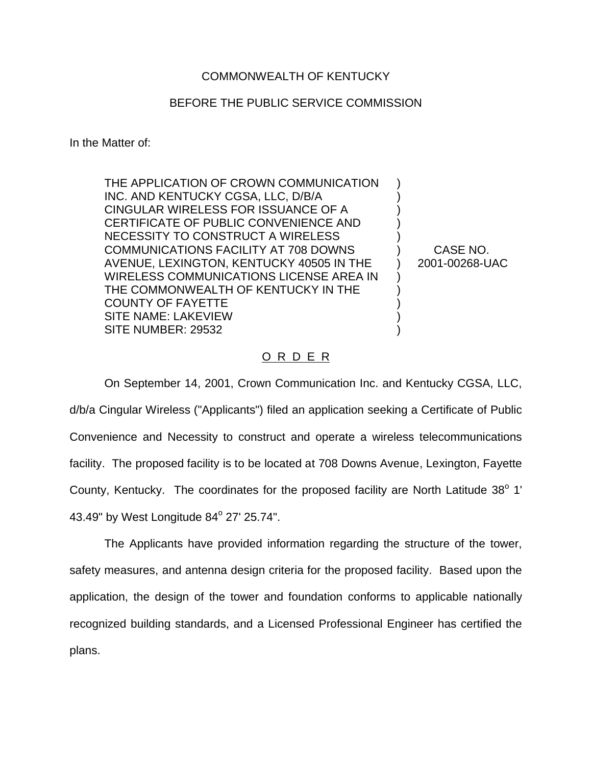## COMMONWEALTH OF KENTUCKY

## BEFORE THE PUBLIC SERVICE COMMISSION

In the Matter of:

THE APPLICATION OF CROWN COMMUNICATION INC. AND KENTUCKY CGSA, LLC, D/B/A CINGULAR WIRELESS FOR ISSUANCE OF A CERTIFICATE OF PUBLIC CONVENIENCE AND NECESSITY TO CONSTRUCT A WIRELESS COMMUNICATIONS FACILITY AT 708 DOWNS AVENUE, LEXINGTON, KENTUCKY 40505 IN THE WIRELESS COMMUNICATIONS LICENSE AREA IN THE COMMONWEALTH OF KENTUCKY IN THE COUNTY OF FAYETTE SITE NAME: LAKEVIEW SITE NUMBER: 29532

CASE NO. 2001-00268-UAC

) ) ) ) ) ) ) ) ) ) ) )

## O R D E R

On September 14, 2001, Crown Communication Inc. and Kentucky CGSA, LLC, d/b/a Cingular Wireless ("Applicants") filed an application seeking a Certificate of Public Convenience and Necessity to construct and operate a wireless telecommunications facility. The proposed facility is to be located at 708 Downs Avenue, Lexington, Fayette County, Kentucky. The coordinates for the proposed facility are North Latitude  $38^{\circ}$  1' 43.49" by West Longitude 84° 27' 25.74".

The Applicants have provided information regarding the structure of the tower, safety measures, and antenna design criteria for the proposed facility. Based upon the application, the design of the tower and foundation conforms to applicable nationally recognized building standards, and a Licensed Professional Engineer has certified the plans.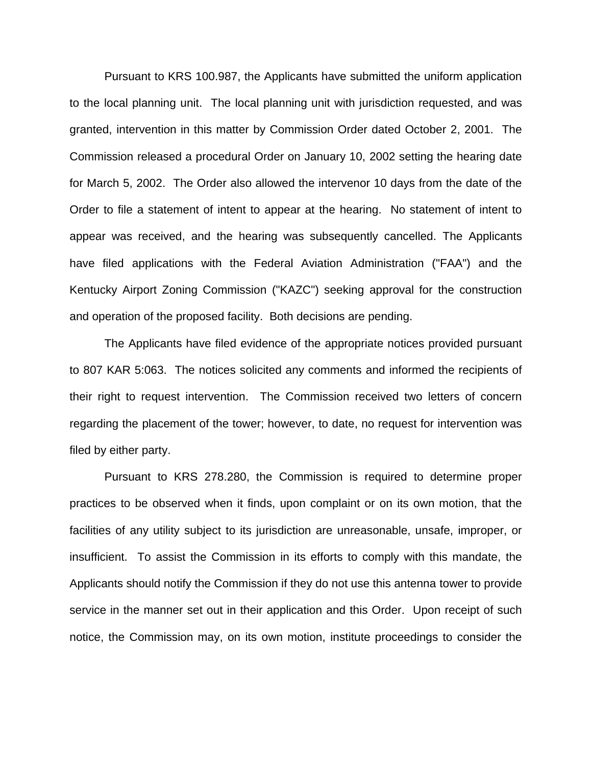Pursuant to KRS 100.987, the Applicants have submitted the uniform application to the local planning unit. The local planning unit with jurisdiction requested, and was granted, intervention in this matter by Commission Order dated October 2, 2001. The Commission released a procedural Order on January 10, 2002 setting the hearing date for March 5, 2002. The Order also allowed the intervenor 10 days from the date of the Order to file a statement of intent to appear at the hearing. No statement of intent to appear was received, and the hearing was subsequently cancelled. The Applicants have filed applications with the Federal Aviation Administration ("FAA") and the Kentucky Airport Zoning Commission ("KAZC") seeking approval for the construction and operation of the proposed facility. Both decisions are pending.

The Applicants have filed evidence of the appropriate notices provided pursuant to 807 KAR 5:063. The notices solicited any comments and informed the recipients of their right to request intervention. The Commission received two letters of concern regarding the placement of the tower; however, to date, no request for intervention was filed by either party.

Pursuant to KRS 278.280, the Commission is required to determine proper practices to be observed when it finds, upon complaint or on its own motion, that the facilities of any utility subject to its jurisdiction are unreasonable, unsafe, improper, or insufficient. To assist the Commission in its efforts to comply with this mandate, the Applicants should notify the Commission if they do not use this antenna tower to provide service in the manner set out in their application and this Order. Upon receipt of such notice, the Commission may, on its own motion, institute proceedings to consider the